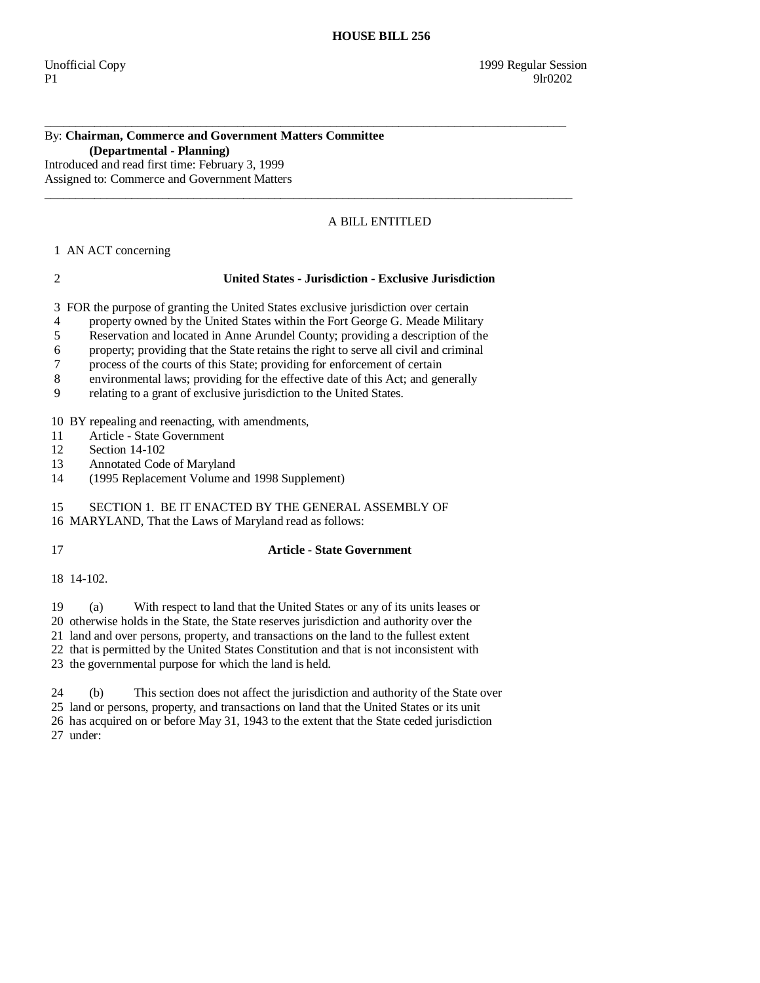## By: **Chairman, Commerce and Government Matters Committee (Departmental - Planning)**

Introduced and read first time: February 3, 1999 Assigned to: Commerce and Government Matters

# A BILL ENTITLED

## 1 AN ACT concerning

## 2 **United States - Jurisdiction - Exclusive Jurisdiction**

3 FOR the purpose of granting the United States exclusive jurisdiction over certain

4 property owned by the United States within the Fort George G. Meade Military

\_\_\_\_\_\_\_\_\_\_\_\_\_\_\_\_\_\_\_\_\_\_\_\_\_\_\_\_\_\_\_\_\_\_\_\_\_\_\_\_\_\_\_\_\_\_\_\_\_\_\_\_\_\_\_\_\_\_\_\_\_\_\_\_\_\_\_\_\_\_\_\_\_\_\_\_\_\_\_\_\_\_\_\_

 $\_$  ,  $\_$  ,  $\_$  ,  $\_$  ,  $\_$  ,  $\_$  ,  $\_$  ,  $\_$  ,  $\_$  ,  $\_$  ,  $\_$  ,  $\_$  ,  $\_$  ,  $\_$  ,  $\_$  ,  $\_$  ,  $\_$  ,  $\_$  ,  $\_$  ,  $\_$  ,  $\_$  ,  $\_$  ,  $\_$  ,  $\_$  ,  $\_$  ,  $\_$  ,  $\_$  ,  $\_$  ,  $\_$  ,  $\_$  ,  $\_$  ,  $\_$  ,  $\_$  ,  $\_$  ,  $\_$  ,  $\_$  ,  $\_$  ,

5 Reservation and located in Anne Arundel County; providing a description of the

6 property; providing that the State retains the right to serve all civil and criminal

7 process of the courts of this State; providing for enforcement of certain

8 environmental laws; providing for the effective date of this Act; and generally

9 relating to a grant of exclusive jurisdiction to the United States.

10 BY repealing and reenacting, with amendments,

11 Article - State Government

12 Section 14-102<br>13 Annotated Code

Annotated Code of Maryland

14 (1995 Replacement Volume and 1998 Supplement)

15 SECTION 1. BE IT ENACTED BY THE GENERAL ASSEMBLY OF

16 MARYLAND, That the Laws of Maryland read as follows:

# 17 **Article - State Government**

18 14-102.

19 (a) With respect to land that the United States or any of its units leases or

20 otherwise holds in the State, the State reserves jurisdiction and authority over the

21 land and over persons, property, and transactions on the land to the fullest extent

22 that is permitted by the United States Constitution and that is not inconsistent with

23 the governmental purpose for which the land is held.

 24 (b) This section does not affect the jurisdiction and authority of the State over 25 land or persons, property, and transactions on land that the United States or its unit 26 has acquired on or before May 31, 1943 to the extent that the State ceded jurisdiction 27 under: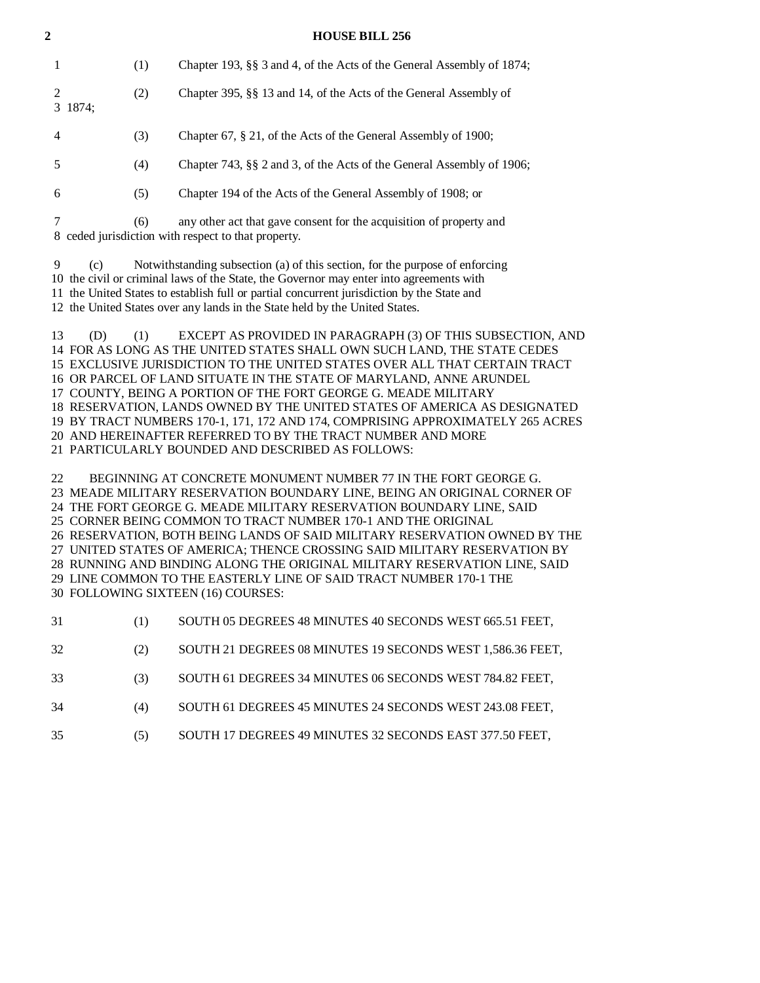1 (1) Chapter 193, §§ 3 and 4, of the Acts of the General Assembly of 1874; 2 (2) Chapter 395, §§ 13 and 14, of the Acts of the General Assembly of 3 1874; 4 (3) Chapter 67, § 21, of the Acts of the General Assembly of 1900; 5 (4) Chapter 743, §§ 2 and 3, of the Acts of the General Assembly of 1906;

6 (5) Chapter 194 of the Acts of the General Assembly of 1908; or

| (6) | any other act that gave consent for the acquisition of property and |
|-----|---------------------------------------------------------------------|
|     | 8 ceded jurisdiction with respect to that property.                 |

 9 (c) Notwithstanding subsection (a) of this section, for the purpose of enforcing 10 the civil or criminal laws of the State, the Governor may enter into agreements with 11 the United States to establish full or partial concurrent jurisdiction by the State and 12 the United States over any lands in the State held by the United States.

 13 (D) (1) EXCEPT AS PROVIDED IN PARAGRAPH (3) OF THIS SUBSECTION, AND 14 FOR AS LONG AS THE UNITED STATES SHALL OWN SUCH LAND, THE STATE CEDES 15 EXCLUSIVE JURISDICTION TO THE UNITED STATES OVER ALL THAT CERTAIN TRACT 16 OR PARCEL OF LAND SITUATE IN THE STATE OF MARYLAND, ANNE ARUNDEL 17 COUNTY, BEING A PORTION OF THE FORT GEORGE G. MEADE MILITARY 18 RESERVATION, LANDS OWNED BY THE UNITED STATES OF AMERICA AS DESIGNATED 19 BY TRACT NUMBERS 170-1, 171, 172 AND 174, COMPRISING APPROXIMATELY 265 ACRES 20 AND HEREINAFTER REFERRED TO BY THE TRACT NUMBER AND MORE 21 PARTICULARLY BOUNDED AND DESCRIBED AS FOLLOWS:

 22 BEGINNING AT CONCRETE MONUMENT NUMBER 77 IN THE FORT GEORGE G. 23 MEADE MILITARY RESERVATION BOUNDARY LINE, BEING AN ORIGINAL CORNER OF 24 THE FORT GEORGE G. MEADE MILITARY RESERVATION BOUNDARY LINE, SAID 25 CORNER BEING COMMON TO TRACT NUMBER 170-1 AND THE ORIGINAL 26 RESERVATION, BOTH BEING LANDS OF SAID MILITARY RESERVATION OWNED BY THE 27 UNITED STATES OF AMERICA; THENCE CROSSING SAID MILITARY RESERVATION BY 28 RUNNING AND BINDING ALONG THE ORIGINAL MILITARY RESERVATION LINE, SAID 29 LINE COMMON TO THE EASTERLY LINE OF SAID TRACT NUMBER 170-1 THE 30 FOLLOWING SIXTEEN (16) COURSES:

|  | -31 | SOUTH 05 DEGREES 48 MINUTES 40 SECONDS WEST 665.51 FEET, |
|--|-----|----------------------------------------------------------|
|--|-----|----------------------------------------------------------|

32 (2) SOUTH 21 DEGREES 08 MINUTES 19 SECONDS WEST 1,586.36 FEET,

33 (3) SOUTH 61 DEGREES 34 MINUTES 06 SECONDS WEST 784.82 FEET,

34 (4) SOUTH 61 DEGREES 45 MINUTES 24 SECONDS WEST 243.08 FEET,

35 (5) SOUTH 17 DEGREES 49 MINUTES 32 SECONDS EAST 377.50 FEET,

#### **2 HOUSE BILL 256**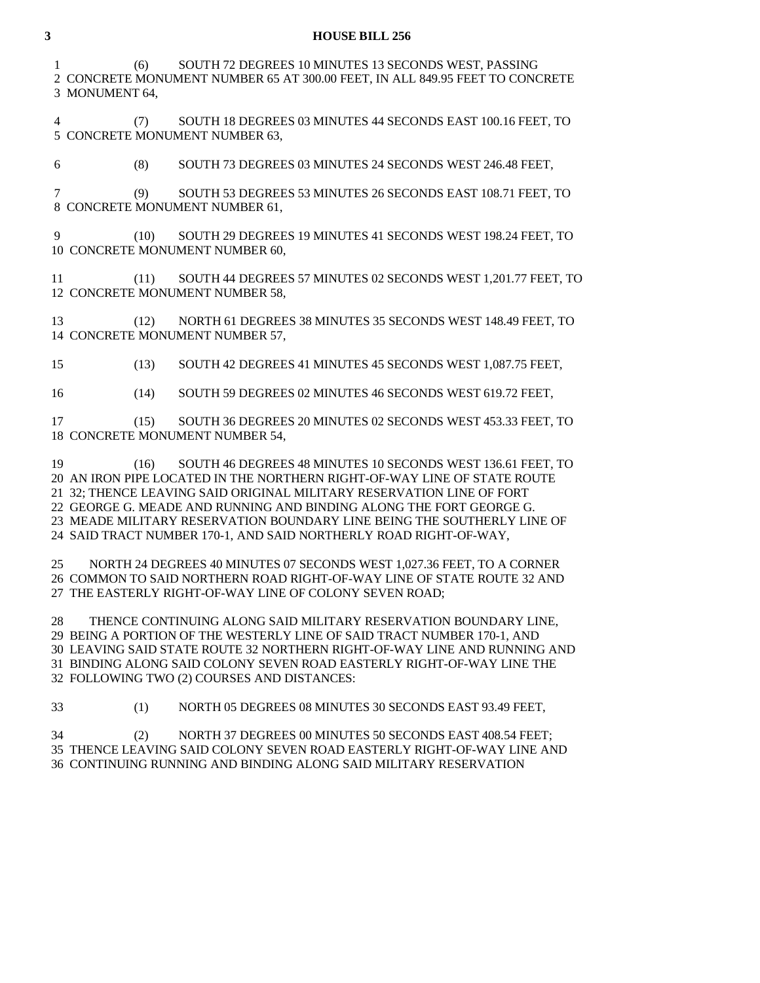## **3 HOUSE BILL 256**

 1 (6) SOUTH 72 DEGREES 10 MINUTES 13 SECONDS WEST, PASSING 2 CONCRETE MONUMENT NUMBER 65 AT 300.00 FEET, IN ALL 849.95 FEET TO CONCRETE 3 MONUMENT 64,

 4 (7) SOUTH 18 DEGREES 03 MINUTES 44 SECONDS EAST 100.16 FEET, TO 5 CONCRETE MONUMENT NUMBER 63,

6 (8) SOUTH 73 DEGREES 03 MINUTES 24 SECONDS WEST 246.48 FEET,

 7 (9) SOUTH 53 DEGREES 53 MINUTES 26 SECONDS EAST 108.71 FEET, TO 8 CONCRETE MONUMENT NUMBER 61,

 9 (10) SOUTH 29 DEGREES 19 MINUTES 41 SECONDS WEST 198.24 FEET, TO 10 CONCRETE MONUMENT NUMBER 60,

 11 (11) SOUTH 44 DEGREES 57 MINUTES 02 SECONDS WEST 1,201.77 FEET, TO 12 CONCRETE MONUMENT NUMBER 58,

 13 (12) NORTH 61 DEGREES 38 MINUTES 35 SECONDS WEST 148.49 FEET, TO 14 CONCRETE MONUMENT NUMBER 57,

15 (13) SOUTH 42 DEGREES 41 MINUTES 45 SECONDS WEST 1,087.75 FEET,

16 (14) SOUTH 59 DEGREES 02 MINUTES 46 SECONDS WEST 619.72 FEET,

 17 (15) SOUTH 36 DEGREES 20 MINUTES 02 SECONDS WEST 453.33 FEET, TO 18 CONCRETE MONUMENT NUMBER 54,

 19 (16) SOUTH 46 DEGREES 48 MINUTES 10 SECONDS WEST 136.61 FEET, TO 20 AN IRON PIPE LOCATED IN THE NORTHERN RIGHT-OF-WAY LINE OF STATE ROUTE 21 32; THENCE LEAVING SAID ORIGINAL MILITARY RESERVATION LINE OF FORT 22 GEORGE G. MEADE AND RUNNING AND BINDING ALONG THE FORT GEORGE G. 23 MEADE MILITARY RESERVATION BOUNDARY LINE BEING THE SOUTHERLY LINE OF 24 SAID TRACT NUMBER 170-1, AND SAID NORTHERLY ROAD RIGHT-OF-WAY,

 25 NORTH 24 DEGREES 40 MINUTES 07 SECONDS WEST 1,027.36 FEET, TO A CORNER 26 COMMON TO SAID NORTHERN ROAD RIGHT-OF-WAY LINE OF STATE ROUTE 32 AND 27 THE EASTERLY RIGHT-OF-WAY LINE OF COLONY SEVEN ROAD;

 28 THENCE CONTINUING ALONG SAID MILITARY RESERVATION BOUNDARY LINE, 29 BEING A PORTION OF THE WESTERLY LINE OF SAID TRACT NUMBER 170-1, AND 30 LEAVING SAID STATE ROUTE 32 NORTHERN RIGHT-OF-WAY LINE AND RUNNING AND 31 BINDING ALONG SAID COLONY SEVEN ROAD EASTERLY RIGHT-OF-WAY LINE THE 32 FOLLOWING TWO (2) COURSES AND DISTANCES:

33 (1) NORTH 05 DEGREES 08 MINUTES 30 SECONDS EAST 93.49 FEET,

 34 (2) NORTH 37 DEGREES 00 MINUTES 50 SECONDS EAST 408.54 FEET; 35 THENCE LEAVING SAID COLONY SEVEN ROAD EASTERLY RIGHT-OF-WAY LINE AND 36 CONTINUING RUNNING AND BINDING ALONG SAID MILITARY RESERVATION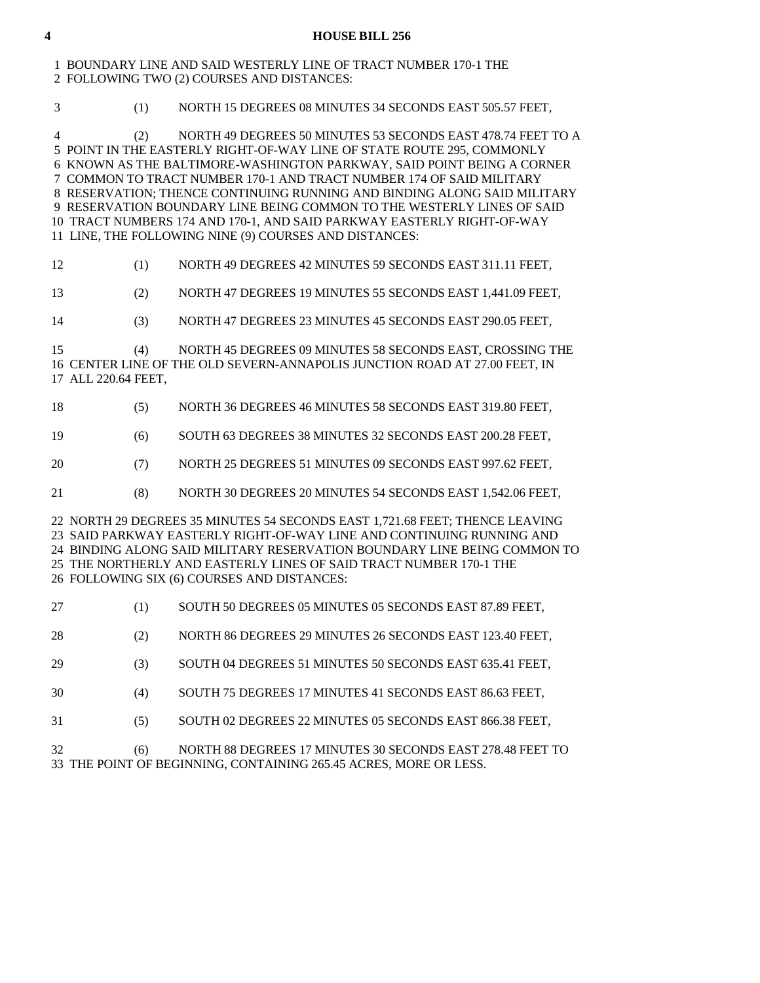### **4 HOUSE BILL 256**

## 1 BOUNDARY LINE AND SAID WESTERLY LINE OF TRACT NUMBER 170-1 THE 2 FOLLOWING TWO (2) COURSES AND DISTANCES:

3 (1) NORTH 15 DEGREES 08 MINUTES 34 SECONDS EAST 505.57 FEET,

 4 (2) NORTH 49 DEGREES 50 MINUTES 53 SECONDS EAST 478.74 FEET TO A 5 POINT IN THE EASTERLY RIGHT-OF-WAY LINE OF STATE ROUTE 295, COMMONLY 6 KNOWN AS THE BALTIMORE-WASHINGTON PARKWAY, SAID POINT BEING A CORNER 7 COMMON TO TRACT NUMBER 170-1 AND TRACT NUMBER 174 OF SAID MILITARY 8 RESERVATION; THENCE CONTINUING RUNNING AND BINDING ALONG SAID MILITARY 9 RESERVATION BOUNDARY LINE BEING COMMON TO THE WESTERLY LINES OF SAID 10 TRACT NUMBERS 174 AND 170-1, AND SAID PARKWAY EASTERLY RIGHT-OF-WAY 11 LINE, THE FOLLOWING NINE (9) COURSES AND DISTANCES:

## 12 (1) NORTH 49 DEGREES 42 MINUTES 59 SECONDS EAST 311.11 FEET,

13 (2) NORTH 47 DEGREES 19 MINUTES 55 SECONDS EAST 1,441.09 FEET,

14 (3) NORTH 47 DEGREES 23 MINUTES 45 SECONDS EAST 290.05 FEET,

 15 (4) NORTH 45 DEGREES 09 MINUTES 58 SECONDS EAST, CROSSING THE 16 CENTER LINE OF THE OLD SEVERN-ANNAPOLIS JUNCTION ROAD AT 27.00 FEET, IN 17 ALL 220.64 FEET,

|  |  | NORTH 36 DEGREES 46 MINUTES 58 SECONDS EAST 319.80 FEET, |
|--|--|----------------------------------------------------------|
|--|--|----------------------------------------------------------|

19 (6) SOUTH 63 DEGREES 38 MINUTES 32 SECONDS EAST 200.28 FEET,

20 (7) NORTH 25 DEGREES 51 MINUTES 09 SECONDS EAST 997.62 FEET,

21 (8) NORTH 30 DEGREES 20 MINUTES 54 SECONDS EAST 1,542.06 FEET,

 22 NORTH 29 DEGREES 35 MINUTES 54 SECONDS EAST 1,721.68 FEET; THENCE LEAVING 23 SAID PARKWAY EASTERLY RIGHT-OF-WAY LINE AND CONTINUING RUNNING AND 24 BINDING ALONG SAID MILITARY RESERVATION BOUNDARY LINE BEING COMMON TO 25 THE NORTHERLY AND EASTERLY LINES OF SAID TRACT NUMBER 170-1 THE 26 FOLLOWING SIX (6) COURSES AND DISTANCES:

| -27  | SOUTH 50 DEGREES 05 MINUTES 05 SECONDS EAST 87.89 FEET,  |
|------|----------------------------------------------------------|
| - 28 | NORTH 86 DEGREES 29 MINUTES 26 SECONDS EAST 123.40 FEET, |

29 (3) SOUTH 04 DEGREES 51 MINUTES 50 SECONDS EAST 635.41 FEET,

30 (4) SOUTH 75 DEGREES 17 MINUTES 41 SECONDS EAST 86.63 FEET,

31 (5) SOUTH 02 DEGREES 22 MINUTES 05 SECONDS EAST 866.38 FEET,

 32 (6) NORTH 88 DEGREES 17 MINUTES 30 SECONDS EAST 278.48 FEET TO 33 THE POINT OF BEGINNING, CONTAINING 265.45 ACRES, MORE OR LESS.